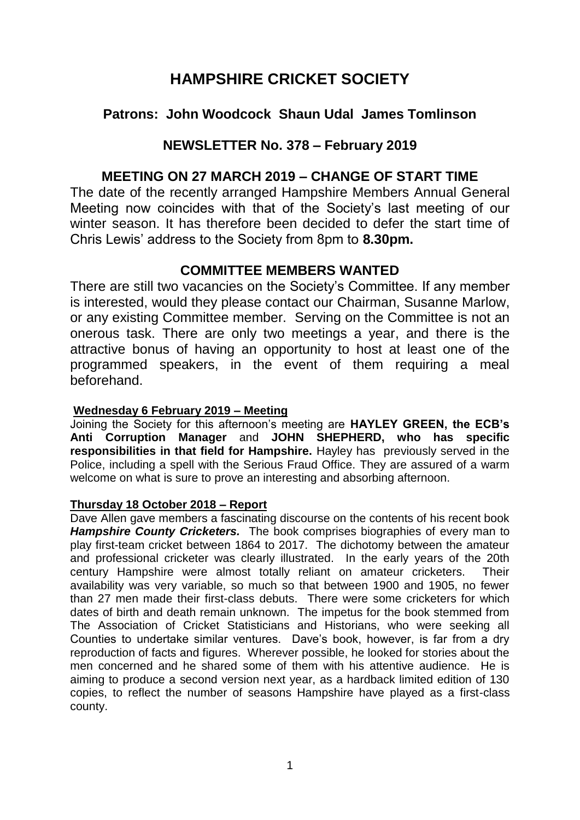# **HAMPSHIRE CRICKET SOCIETY**

# **Patrons: John Woodcock Shaun Udal James Tomlinson**

### **NEWSLETTER No. 378 – February 2019**

## **MEETING ON 27 MARCH 2019 – CHANGE OF START TIME**

The date of the recently arranged Hampshire Members Annual General Meeting now coincides with that of the Society's last meeting of our winter season. It has therefore been decided to defer the start time of Chris Lewis' address to the Society from 8pm to **8.30pm.**

### **COMMITTEE MEMBERS WANTED**

There are still two vacancies on the Society's Committee. If any member is interested, would they please contact our Chairman, Susanne Marlow, or any existing Committee member. Serving on the Committee is not an onerous task. There are only two meetings a year, and there is the attractive bonus of having an opportunity to host at least one of the programmed speakers, in the event of them requiring a meal beforehand.

### **Wednesday 6 February 2019 – Meeting**

Joining the Society for this afternoon's meeting are **HAYLEY GREEN, the ECB's Anti Corruption Manager** and **JOHN SHEPHERD, who has specific responsibilities in that field for Hampshire.** Hayley has previously served in the Police, including a spell with the Serious Fraud Office. They are assured of a warm welcome on what is sure to prove an interesting and absorbing afternoon.

#### **Thursday 18 October 2018 – Report**

Dave Allen gave members a fascinating discourse on the contents of his recent book *Hampshire County Cricketers.* The book comprises biographies of every man to play first-team cricket between 1864 to 2017. The dichotomy between the amateur and professional cricketer was clearly illustrated. In the early years of the 20th century Hampshire were almost totally reliant on amateur cricketers. Their availability was very variable, so much so that between 1900 and 1905, no fewer than 27 men made their first-class debuts. There were some cricketers for which dates of birth and death remain unknown. The impetus for the book stemmed from The Association of Cricket Statisticians and Historians, who were seeking all Counties to undertake similar ventures. Dave's book, however, is far from a dry reproduction of facts and figures. Wherever possible, he looked for stories about the men concerned and he shared some of them with his attentive audience. He is aiming to produce a second version next year, as a hardback limited edition of 130 copies, to reflect the number of seasons Hampshire have played as a first-class county.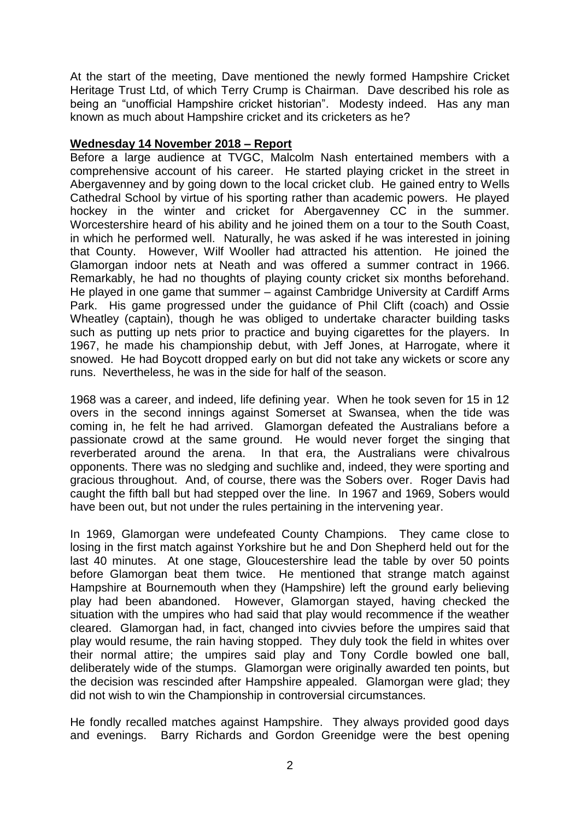At the start of the meeting, Dave mentioned the newly formed Hampshire Cricket Heritage Trust Ltd, of which Terry Crump is Chairman. Dave described his role as being an "unofficial Hampshire cricket historian". Modesty indeed. Has any man known as much about Hampshire cricket and its cricketers as he?

#### **Wednesday 14 November 2018 – Report**

Before a large audience at TVGC, Malcolm Nash entertained members with a comprehensive account of his career. He started playing cricket in the street in Abergavenney and by going down to the local cricket club. He gained entry to Wells Cathedral School by virtue of his sporting rather than academic powers. He played hockey in the winter and cricket for Abergavenney CC in the summer. Worcestershire heard of his ability and he joined them on a tour to the South Coast, in which he performed well. Naturally, he was asked if he was interested in joining that County. However, Wilf Wooller had attracted his attention. He joined the Glamorgan indoor nets at Neath and was offered a summer contract in 1966. Remarkably, he had no thoughts of playing county cricket six months beforehand. He played in one game that summer – against Cambridge University at Cardiff Arms Park. His game progressed under the guidance of Phil Clift (coach) and Ossie Wheatley (captain), though he was obliged to undertake character building tasks such as putting up nets prior to practice and buying cigarettes for the players. In 1967, he made his championship debut, with Jeff Jones, at Harrogate, where it snowed. He had Boycott dropped early on but did not take any wickets or score any runs. Nevertheless, he was in the side for half of the season.

1968 was a career, and indeed, life defining year. When he took seven for 15 in 12 overs in the second innings against Somerset at Swansea, when the tide was coming in, he felt he had arrived. Glamorgan defeated the Australians before a passionate crowd at the same ground. He would never forget the singing that reverberated around the arena. In that era, the Australians were chivalrous opponents. There was no sledging and suchlike and, indeed, they were sporting and gracious throughout. And, of course, there was the Sobers over. Roger Davis had caught the fifth ball but had stepped over the line. In 1967 and 1969, Sobers would have been out, but not under the rules pertaining in the intervening year.

In 1969, Glamorgan were undefeated County Champions. They came close to losing in the first match against Yorkshire but he and Don Shepherd held out for the last 40 minutes. At one stage, Gloucestershire lead the table by over 50 points before Glamorgan beat them twice. He mentioned that strange match against Hampshire at Bournemouth when they (Hampshire) left the ground early believing play had been abandoned. However, Glamorgan stayed, having checked the situation with the umpires who had said that play would recommence if the weather cleared. Glamorgan had, in fact, changed into civvies before the umpires said that play would resume, the rain having stopped. They duly took the field in whites over their normal attire; the umpires said play and Tony Cordle bowled one ball, deliberately wide of the stumps. Glamorgan were originally awarded ten points, but the decision was rescinded after Hampshire appealed. Glamorgan were glad; they did not wish to win the Championship in controversial circumstances.

He fondly recalled matches against Hampshire. They always provided good days and evenings. Barry Richards and Gordon Greenidge were the best opening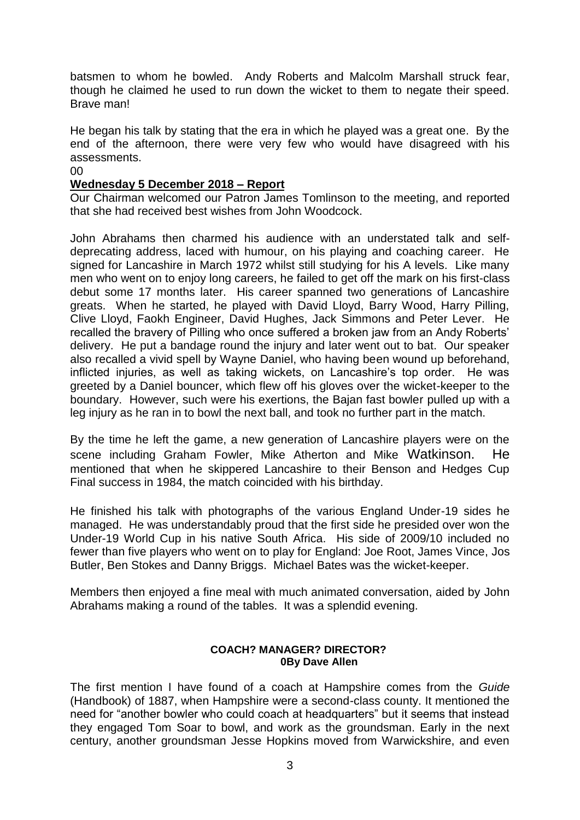batsmen to whom he bowled. Andy Roberts and Malcolm Marshall struck fear, though he claimed he used to run down the wicket to them to negate their speed. Brave man!

He began his talk by stating that the era in which he played was a great one. By the end of the afternoon, there were very few who would have disagreed with his assessments.

#### 00

#### **Wednesday 5 December 2018 – Report**

Our Chairman welcomed our Patron James Tomlinson to the meeting, and reported that she had received best wishes from John Woodcock.

John Abrahams then charmed his audience with an understated talk and selfdeprecating address, laced with humour, on his playing and coaching career. He signed for Lancashire in March 1972 whilst still studying for his A levels. Like many men who went on to enjoy long careers, he failed to get off the mark on his first-class debut some 17 months later. His career spanned two generations of Lancashire greats. When he started, he played with David Lloyd, Barry Wood, Harry Pilling, Clive Lloyd, Faokh Engineer, David Hughes, Jack Simmons and Peter Lever. He recalled the bravery of Pilling who once suffered a broken jaw from an Andy Roberts' delivery. He put a bandage round the injury and later went out to bat. Our speaker also recalled a vivid spell by Wayne Daniel, who having been wound up beforehand, inflicted injuries, as well as taking wickets, on Lancashire's top order. He was greeted by a Daniel bouncer, which flew off his gloves over the wicket-keeper to the boundary. However, such were his exertions, the Bajan fast bowler pulled up with a leg injury as he ran in to bowl the next ball, and took no further part in the match.

By the time he left the game, a new generation of Lancashire players were on the scene including Graham Fowler, Mike Atherton and Mike Watkinson. He mentioned that when he skippered Lancashire to their Benson and Hedges Cup Final success in 1984, the match coincided with his birthday.

He finished his talk with photographs of the various England Under-19 sides he managed. He was understandably proud that the first side he presided over won the Under-19 World Cup in his native South Africa. His side of 2009/10 included no fewer than five players who went on to play for England: Joe Root, James Vince, Jos Butler, Ben Stokes and Danny Briggs. Michael Bates was the wicket-keeper.

Members then enjoyed a fine meal with much animated conversation, aided by John Abrahams making a round of the tables. It was a splendid evening.

#### **COACH? MANAGER? DIRECTOR? 0By Dave Allen**

The first mention I have found of a coach at Hampshire comes from the *Guide* (Handbook) of 1887, when Hampshire were a second-class county. It mentioned the need for "another bowler who could coach at headquarters" but it seems that instead they engaged Tom Soar to bowl, and work as the groundsman. Early in the next century, another groundsman Jesse Hopkins moved from Warwickshire, and even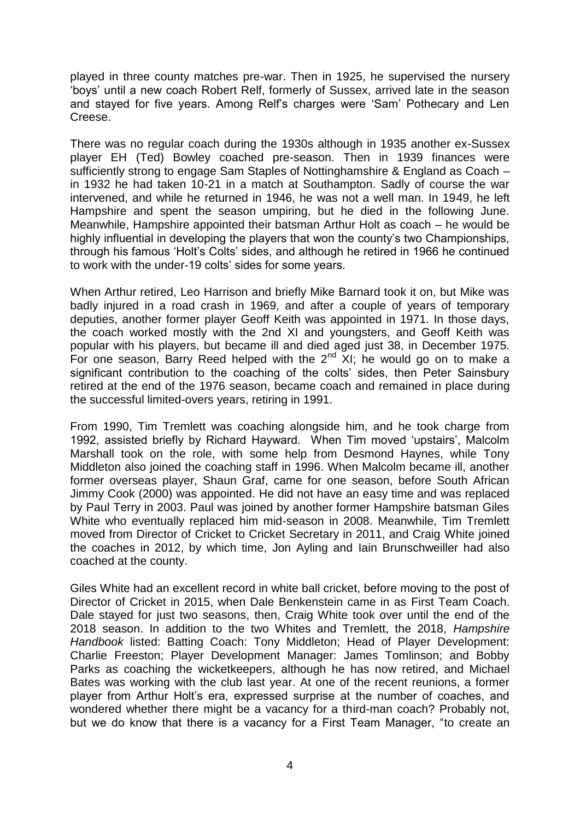played in three county matches pre-war. Then in 1925, he supervised the nursery 'boys' until a new coach Robert Relf, formerly of Sussex, arrived late in the season and stayed for five years. Among Relf's charges were 'Sam' Pothecary and Len Creese.

There was no regular coach during the 1930s although in 1935 another ex-Sussex player EH (Ted) Bowley coached pre-season. Then in 1939 finances were sufficiently strong to engage Sam Staples of Nottinghamshire & England as Coach – in 1932 he had taken 10-21 in a match at Southampton. Sadly of course the war intervened, and while he returned in 1946, he was not a well man. In 1949, he left Hampshire and spent the season umpiring, but he died in the following June. Meanwhile, Hampshire appointed their batsman Arthur Holt as coach – he would be highly influential in developing the players that won the county's two Championships, through his famous 'Holt's Colts' sides, and although he retired in 1966 he continued to work with the under-19 colts' sides for some years.

When Arthur retired, Leo Harrison and briefly Mike Barnard took it on, but Mike was badly injured in a road crash in 1969, and after a couple of years of temporary deputies, another former player Geoff Keith was appointed in 1971. In those days, the coach worked mostly with the 2nd XI and youngsters, and Geoff Keith was popular with his players, but became ill and died aged just 38, in December 1975. For one season, Barry Reed helped with the  $2<sup>nd</sup>$  XI; he would go on to make a significant contribution to the coaching of the colts' sides, then Peter Sainsbury retired at the end of the 1976 season, became coach and remained in place during the successful limited-overs years, retiring in 1991.

From 1990, Tim Tremlett was coaching alongside him, and he took charge from 1992, assisted briefly by Richard Hayward. When Tim moved 'upstairs', Malcolm Marshall took on the role, with some help from Desmond Haynes, while Tony Middleton also joined the coaching staff in 1996. When Malcolm became ill, another former overseas player, Shaun Graf, came for one season, before South African Jimmy Cook (2000) was appointed. He did not have an easy time and was replaced by Paul Terry in 2003. Paul was joined by another former Hampshire batsman Giles White who eventually replaced him mid-season in 2008. Meanwhile, Tim Tremlett moved from Director of Cricket to Cricket Secretary in 2011, and Craig White joined the coaches in 2012, by which time, Jon Ayling and Iain Brunschweiller had also coached at the county.

Giles White had an excellent record in white ball cricket, before moving to the post of Director of Cricket in 2015, when Dale Benkenstein came in as First Team Coach. Dale stayed for just two seasons, then, Craig White took over until the end of the 2018 season. In addition to the two Whites and Tremlett, the 2018, *Hampshire Handbook* listed: Batting Coach: Tony Middleton; Head of Player Development: Charlie Freeston; Player Development Manager: James Tomlinson; and Bobby Parks as coaching the wicketkeepers, although he has now retired, and Michael Bates was working with the club last year. At one of the recent reunions, a former player from Arthur Holt's era, expressed surprise at the number of coaches, and wondered whether there might be a vacancy for a third-man coach? Probably not, but we do know that there is a vacancy for a First Team Manager, "to create an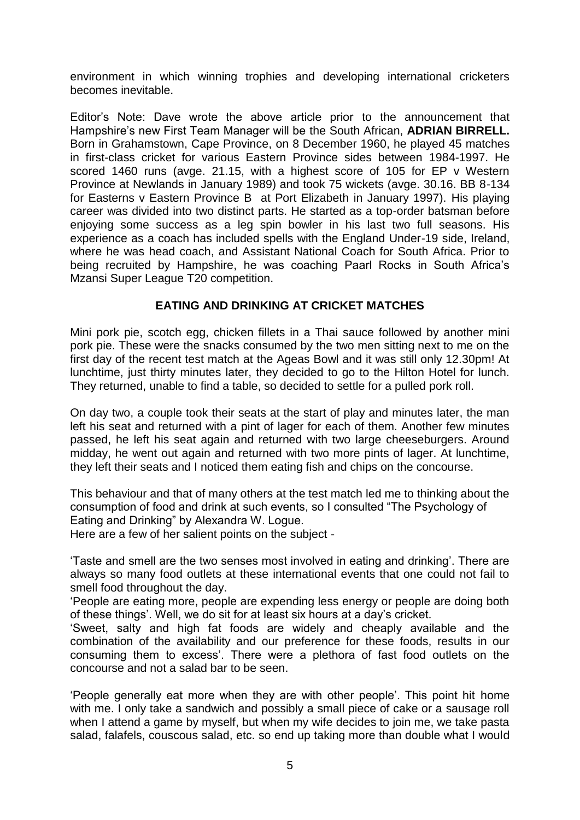environment in which winning trophies and developing international cricketers becomes inevitable.

Editor's Note: Dave wrote the above article prior to the announcement that Hampshire's new First Team Manager will be the South African, **ADRIAN BIRRELL.**  Born in Grahamstown, Cape Province, on 8 December 1960, he played 45 matches in first-class cricket for various Eastern Province sides between 1984-1997. He scored 1460 runs (avge. 21.15, with a highest score of 105 for EP v Western Province at Newlands in January 1989) and took 75 wickets (avge. 30.16. BB 8-134 for Easterns v Eastern Province B at Port Elizabeth in January 1997). His playing career was divided into two distinct parts. He started as a top-order batsman before enjoying some success as a leg spin bowler in his last two full seasons. His experience as a coach has included spells with the England Under-19 side, Ireland, where he was head coach, and Assistant National Coach for South Africa. Prior to being recruited by Hampshire, he was coaching Paarl Rocks in South Africa's Mzansi Super League T20 competition.

### **EATING AND DRINKING AT CRICKET MATCHES**

Mini pork pie, scotch egg, chicken fillets in a Thai sauce followed by another mini pork pie. These were the snacks consumed by the two men sitting next to me on the first day of the recent test match at the Ageas Bowl and it was still only 12.30pm! At lunchtime, just thirty minutes later, they decided to go to the Hilton Hotel for lunch. They returned, unable to find a table, so decided to settle for a pulled pork roll.

On day two, a couple took their seats at the start of play and minutes later, the man left his seat and returned with a pint of lager for each of them. Another few minutes passed, he left his seat again and returned with two large cheeseburgers. Around midday, he went out again and returned with two more pints of lager. At lunchtime, they left their seats and I noticed them eating fish and chips on the concourse.

This behaviour and that of many others at the test match led me to thinking about the consumption of food and drink at such events, so I consulted "The Psychology of Eating and Drinking" by Alexandra W. Logue.

Here are a few of her salient points on the subject -

'Taste and smell are the two senses most involved in eating and drinking'. There are always so many food outlets at these international events that one could not fail to smell food throughout the day.

'People are eating more, people are expending less energy or people are doing both of these things'. Well, we do sit for at least six hours at a day's cricket.

'Sweet, salty and high fat foods are widely and cheaply available and the combination of the availability and our preference for these foods, results in our consuming them to excess'. There were a plethora of fast food outlets on the concourse and not a salad bar to be seen.

'People generally eat more when they are with other people'. This point hit home with me. I only take a sandwich and possibly a small piece of cake or a sausage roll when I attend a game by myself, but when my wife decides to join me, we take pasta salad, falafels, couscous salad, etc. so end up taking more than double what I would